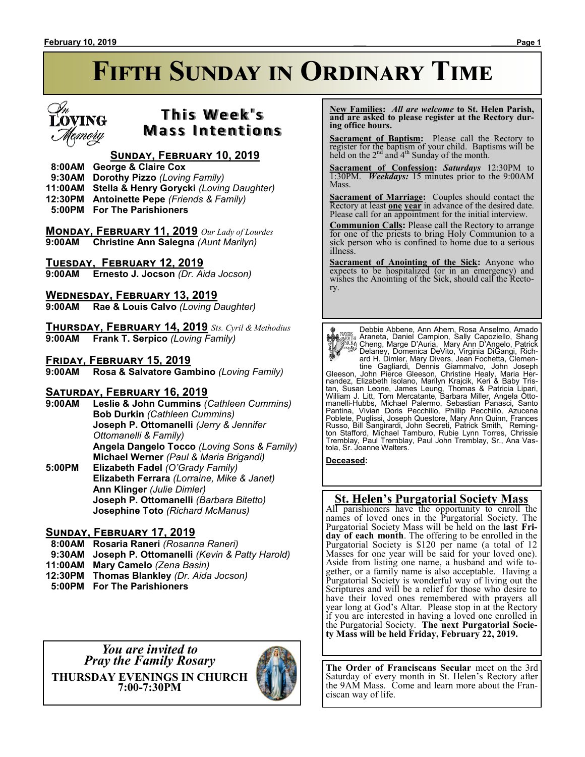

# **T h i s We e k ' s Mass Intentions**

# **Sunday, February 10, 2019**

- **8:00AM George & Claire Cox**
- **9:30AM Dorothy Pizzo** *(Loving Family)*
- **11:00AM Stella & Henry Gorycki** *(Loving Daughter)*
- **12:30PM Antoinette Pepe** *(Friends & Family)*
- **5:00PM For The Parishioners**

**Monday, February 11, 2019** *Our Lady of Lourdes* **9:00AM Christine Ann Salegna** *(Aunt Marilyn)*

**Tuesday, February 12, 2019**

**9:00AM Ernesto J. Jocson** *(Dr. Aida Jocson)*

**Wednesday, February 13, 2019**

**9:00AM Rae & Louis Calvo** *(Loving Daughter)*

**Thursday, February 14, 2019** *Sts. Cyril & Methodius* **9:00AM Frank T. Serpico** *(Loving Family)*

#### **Friday, February 15, 2019**

**9:00AM Rosa & Salvatore Gambino** *(Loving Family)*

### **Saturday, February 16, 2019**

**9:00AM Leslie & John Cummins** *(Cathleen Cummins)* **Bob Durkin** *(Cathleen Cummins)* **Joseph P. Ottomanelli** *(Jerry & Jennifer Ottomanelli & Family)* **Angela Dangelo Tocco** *(Loving Sons & Family)* **Michael Werner** *(Paul & Maria Brigandi)* **5:00PM Elizabeth Fadel** *(O'Grady Family)* **Elizabeth Ferrara** *(Lorraine, Mike & Janet)* **Ann Klinger** *(Julie Dimler)* **Joseph P. Ottomanelli** *(Barbara Bitetto)*

### **Sunday, February 17, 2019**

- **8:00AM Rosaria Raneri** *(Rosanna Raneri)*
- **9:30AM Joseph P. Ottomanelli** *(Kevin & Patty Harold)*

**Josephine Toto** *(Richard McManus)*

- **11:00AM Mary Camelo** *(Zena Basin)*
- **12:30PM Thomas Blankley** *(Dr. Aida Jocson)*
- **5:00PM For The Parishioners**

*You are invited to Pray the Family Rosary* **THURSDAY EVENINGS IN CHURCH 7:00-7:30PM**



 **New Families:** *All are welcome* **to St. Helen Parish, and are asked to please register at the Rectory during office hours.**

**Sacrament of Baptism:** Please call the Rectory to register for the baptism of your child. Baptisms will be held on the  $2<sup>nd</sup>$  and  $4<sup>th</sup>$  Sunday of the month.

**Sacrament of Confession:** *Saturdays* 12:30PM to 1:30PM. *Weekdays:* 15 minutes prior to the 9:00AM Mass.

**Sacrament of Marriage:**Couples should contact the Rectory at least **one year** in advance of the desired date. Please call for an appointment for the initial interview.

**Communion Calls:** Please call the Rectory to arrange for one of the priests to bring Holy Communion to a sick person who is confined to home due to a serious illness.

**Sacrament of Anointing of the Sick:** Anyone who expects to be hospitalized (or in an emergency) and wishes the Anointing of the Sick, should call the Rectory.

Debbie Abbene, Ann Ahern, Rosa Anselmo, Amado Araneta, Daniel Campion, Sally Capoziello, Shang<br>
(Alica, Marge D'Auria, Mary Ann D'Angelo, Patrick<br>
Delaney, Domenica DeVito, Virginia DiGangi, Rich-<br>
and H. Dimler, Mary Divers, Jean Fochetta, Clemen-<br>
tine Gagliardi, De Russo, Bill Šangirardi, John Secreti, Patrick Smith, Reming-<br>ton Stafford, Michael Tamburo, Rubie Lynn Torres, Chrissie<br>Tremblay, Paul Tremblay, Paul John Tremblay, Sr., Ana Vastola, Sr. Joanne Walters.

**Deceased:**

# **St. Helen's Purgatorial Society Mass**

All parishioners have the opportunity to enroll the names of loved ones in the Purgatorial Society. The Purgatorial Society Mass will be held on the **last Friday of each month**. The offering to be enrolled in the Purgatorial Society is \$120 per name (a total of 12 Masses for one year will be said for your loved one). Aside from listing one name, a husband and wife together, or a family name is also acceptable. Having a Purgatorial Society is wonderful way of living out the Scriptures and will be a relief for those who desire to have their loved ones remembered with prayers all year long at God's Altar. Please stop in at the Rectory if you are interested in having a loved one enrolled in the Purgatorial Society. **The next Purgatorial Society Mass will be held Friday, February 22, 2019.**

**The Order of Franciscans Secular** meet on the 3rd Saturday of every month in St. Helen's Rectory after the 9AM Mass. Come and learn more about the Franciscan way of life.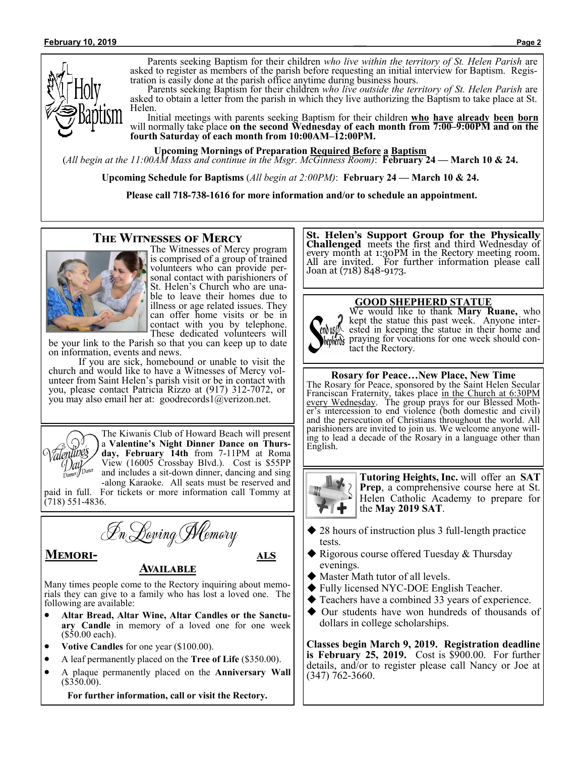

Parents seeking Baptism for their children *who live within the territory of St. Helen Parish* are asked to register as members of the parish before requesting an initial interview for Baptism. Registration is easily done at the parish office anytime during business hours.

Parents seeking Baptism for their children *who live outside the territory of St. Helen Parish* are asked to obtain a letter from the parish in which they live authorizing the Baptism to take place at St. Helen.

Initial meetings with parents seeking Baptism for their children **who have already been born** will normally take place **on the second Wednesday of each month from 7:00–9:00PM and on the fourth Saturday of each month from 10:00AM–12:00PM.**

**Upcoming Mornings of Preparation Required Before a Baptism**

(*All begin at the 11:00AM Mass and continue in the Msgr. McGinness Room)*: **February 24 — March 10 & 24.**

**Upcoming Schedule for Baptisms** (*All begin at 2:00PM)*: **February 24 — March 10 & 24.**

**Please call 718-738-1616 for more information and/or to schedule an appointment.**

#### **The Witnesses of Mercy**



The Witnesses of Mercy program is comprised of a group of trained volunteers who can provide personal contact with parishioners of St. Helen's Church who are unable to leave their homes due to illness or age related issues. They can offer home visits or be in contact with you by telephone. These dedicated volunteers will

be your link to the Parish so that you can keep up to date on information, events and news.

If you are sick, homebound or unable to visit the church and would like to have a Witnesses of Mercy volunteer from Saint Helen's parish visit or be in contact with you, please contact Patricia Rizzo at (917) 312-7072, or you may also email her at: goodrecords1@verizon.net.



The Kiwanis Club of Howard Beach will present a **Valentine's Night Dinner Dance on Thursday, February 14th** from 7-11PM at Roma View (16005 Crossbay Blvd.). Cost is \$55PP and includes a sit-down dinner, dancing and sing -along Karaoke. All seats must be reserved and

paid in full. For tickets or more information call Tommy at (718) 551-4836.



**Memori- als** 

#### **Available**

Many times people come to the Rectory inquiring about memorials they can give to a family who has lost a loved one. The following are available:

- **Altar Bread, Altar Wine, Altar Candles or the Sanctuary Candle** in memory of a loved one for one week (\$50.00 each).
- **Votive Candles** for one year (\$100.00).
- A leaf permanently placed on the **Tree of Life** (\$350.00).
- A plaque permanently placed on the **Anniversary Wall**   $($350.00).$

**For further information, call or visit the Rectory.**

**St. Helen's Support Group for the Physically Challenged** meets the first and third Wednesday of every month at 1:30PM in the Rectory meeting room. All are invited. For further information please call Joan at (718) 848-9173.



**GOOD SHEPHERD STATUE**

We would like to thank **Mary Ruane,** who kept the statue this past week. Anyone interested in keeping the statue in their home and property praying for vocations for one week should contact the Rectory.

#### **Rosary for Peace…New Place, New Time**

The Rosary for Peace, sponsored by the Saint Helen Secular Franciscan Fraternity, takes place in the Church at 6:30PM every Wednesday. The group prays for our Blessed Mother's intercession to end violence (both domestic and civil) and the persecution of Christians throughout the world. All parishioners are invited to join us. We welcome anyone willing to lead a decade of the Rosary in a language other than English.



**Tutoring Heights, Inc.** will offer an **SAT Prep**, a comprehensive course here at St. Helen Catholic Academy to prepare for the **May 2019 SAT**.

- ◆ 28 hours of instruction plus 3 full-length practice tests.
- ◆ Rigorous course offered Tuesday & Thursday evenings.
- ◆ Master Math tutor of all levels.
- ◆ Fully licensed NYC-DOE English Teacher.
- ◆ Teachers have a combined 33 years of experience.
- Our students have won hundreds of thousands of dollars in college scholarships.

**Classes begin March 9, 2019. Registration deadline is February 25, 2019.** Cost is \$900.00. For further details, and/or to register please call Nancy or Joe at (347) 762-3660.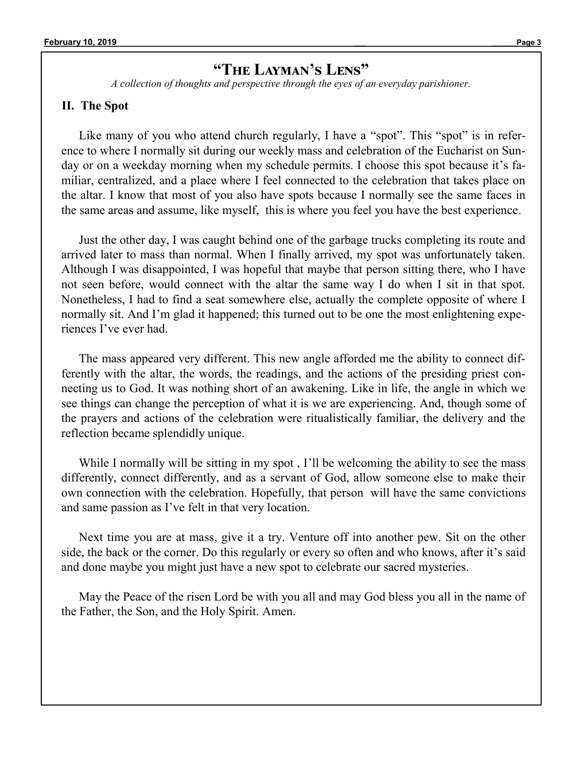# **"The Layman's Lens"**

*A collection of thoughts and perspective through the eyes of an everyday parishioner.*

### **II. The Spot**

Like many of you who attend church regularly, I have a "spot". This "spot" is in reference to where I normally sit during our weekly mass and celebration of the Eucharist on Sunday or on a weekday morning when my schedule permits. I choose this spot because it's familiar, centralized, and a place where I feel connected to the celebration that takes place on the altar. I know that most of you also have spots because I normally see the same faces in the same areas and assume, like myself, this is where you feel you have the best experience.

Just the other day, I was caught behind one of the garbage trucks completing its route and arrived later to mass than normal. When I finally arrived, my spot was unfortunately taken. Although I was disappointed, I was hopeful that maybe that person sitting there, who I have not seen before, would connect with the altar the same way I do when I sit in that spot. Nonetheless, I had to find a seat somewhere else, actually the complete opposite of where I normally sit. And I'm glad it happened; this turned out to be one the most enlightening experiences I've ever had.

The mass appeared very different. This new angle afforded me the ability to connect differently with the altar, the words, the readings, and the actions of the presiding priest connecting us to God. It was nothing short of an awakening. Like in life, the angle in which we see things can change the perception of what it is we are experiencing. And, though some of the prayers and actions of the celebration were ritualistically familiar, the delivery and the reflection became splendidly unique.

While I normally will be sitting in my spot, I'll be welcoming the ability to see the mass differently, connect differently, and as a servant of God, allow someone else to make their own connection with the celebration. Hopefully, that person will have the same convictions and same passion as I've felt in that very location.

Next time you are at mass, give it a try. Venture off into another pew. Sit on the other side, the back or the corner. Do this regularly or every so often and who knows, after it's said and done maybe you might just have a new spot to celebrate our sacred mysteries.

May the Peace of the risen Lord be with you all and may God bless you all in the name of the Father, the Son, and the Holy Spirit. Amen.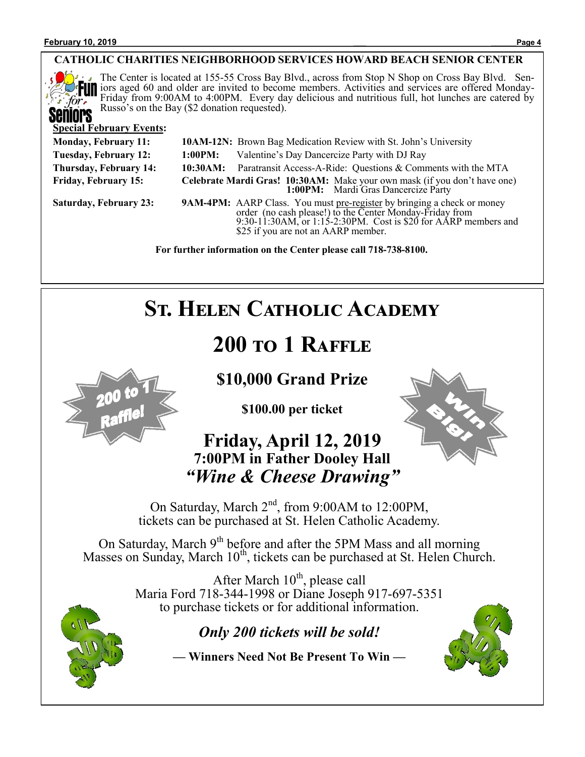

### **CATHOLIC CHARITIES NEIGHBORHOOD SERVICES HOWARD BEACH SENIOR CENTER**

The Center is located at 155-55 Cross Bay Blvd., across from Stop N Shop on Cross Bay Blvd. Seniors aged 60 and older are invited to become members. Activities and services are offered Monday-Friday from 9:00AM to 4:00PM. Every day delicious and nutritious full, hot lunches are catered by Russo's on the Bay (\$2 donation requested).

#### **Special February Events:**

| <b>Monday, February 11:</b> | <b>10AM-12N:</b> Brown Bag Medication Review with St. John's University                                                                                                                                                                              |
|-----------------------------|------------------------------------------------------------------------------------------------------------------------------------------------------------------------------------------------------------------------------------------------------|
| Tuesday, February 12:       | Valentine's Day Dancercize Party with DJ Ray<br>1:00PM:                                                                                                                                                                                              |
| Thursday, February 14:      | Paratransit Access-A-Ride: Questions & Comments with the MTA<br>10:30AM:                                                                                                                                                                             |
| <b>Friday, February 15:</b> | Celebrate Mardi Gras! 10:30AM: Make your own mask (if you don't have one)<br>1:00PM: Mardi Gras Dancercize Party                                                                                                                                     |
| Saturday, February 23:      | <b>9AM-4PM:</b> AARP Class. You must pre-register by bringing a check or money<br>order (no cash please!) to the Center Monday-Friday from<br>9:30-11:30AM, or 1:15-2:30PM. Cost is \$20 for AARP members and<br>\$25 if you are not an AARP member. |
|                             | For further information on the Center please call 718-738-8100.                                                                                                                                                                                      |

# **ST. HELEN CATHOLIC ACADEMY**

# **200 to 1 Raffle**

# **\$10,000 Grand Prize**

**\$100.00 per ticket**

# **Friday, April 12, 2019 7:00PM in Father Dooley Hall** *"Wine & Cheese Drawing"*



On Saturday, March 2<sup>nd</sup>, from 9:00AM to 12:00PM, tickets can be purchased at St. Helen Catholic Academy.

On Saturday, March 9<sup>th</sup> before and after the 5PM Mass and all morning Masses on Sunday, March  $10^{th}$ , tickets can be purchased at St. Helen Church.

> After March  $10^{th}$ , please call Maria Ford 718-344-1998 or Diane Joseph 917-697-5351 to purchase tickets or for additional information.

# *Only 200 tickets will be sold!*

**— Winners Need Not Be Present To Win —**